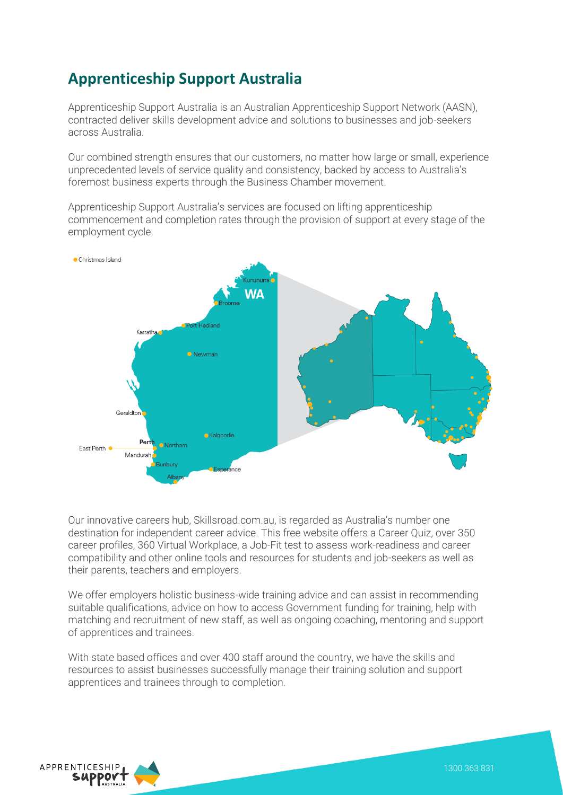## **Apprenticeship Support Australia**

Apprenticeship Support Australia is an Australian Apprenticeship Support Network (AASN), contracted deliver skills development advice and solutions to businesses and job-seekers across Australia.

Our combined strength ensures that our customers, no matter how large or small, experience unprecedented levels of service quality and consistency, backed by access to Australia's foremost business experts through the Business Chamber movement.

Apprenticeship Support Australia's services are focused on lifting apprenticeship commencement and completion rates through the provision of support at every stage of the employment cycle.



Our innovative careers hub, Skillsroad.com.au, is regarded as Australia's number one destination for independent career advice. This free website offers a Career Quiz, over 350 career profiles, 360 Virtual Workplace, a Job-Fit test to assess work-readiness and career compatibility and other online tools and resources for students and job-seekers as well as their parents, teachers and employers.

We offer employers holistic business-wide training advice and can assist in recommending suitable qualifications, advice on how to access Government funding for training, help with matching and recruitment of new staff, as well as ongoing coaching, mentoring and support of apprentices and trainees.

With state based offices and over 400 staff around the country, we have the skills and resources to assist businesses successfully manage their training solution and support apprentices and trainees through to completion.